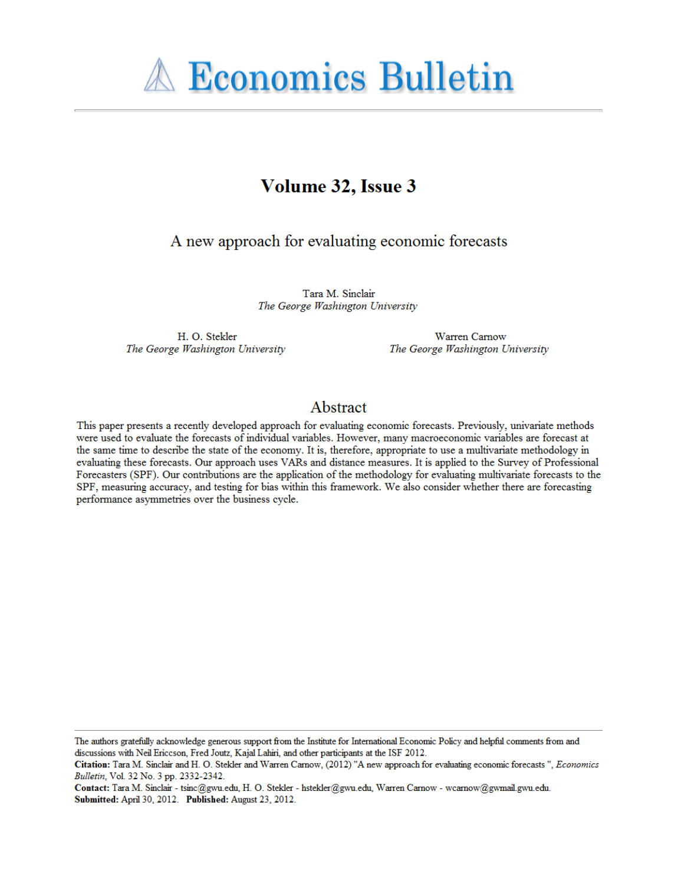

# Volume 32, Issue 3

A new approach for evaluating economic forecasts

Tara M. Sinclair The George Washington University

H. O. Stekler The George Washington University

Warren Carnow The George Washington University

# Abstract

This paper presents a recently developed approach for evaluating economic forecasts. Previously, univariate methods were used to evaluate the forecasts of individual variables. However, many macroeconomic variables are forecast at the same time to describe the state of the economy. It is, therefore, appropriate to use a multivariate methodology in evaluating these forecasts. Our approach uses VARs and distance measures. It is applied to the Survey of Professional Forecasters (SPF). Our contributions are the application of the methodology for evaluating multivariate forecasts to the SPF, measuring accuracy, and testing for bias within this framework. We also consider whether there are forecasting performance asymmetries over the business cycle.

The authors gratefully acknowledge generous support from the Institute for International Economic Policy and helpful comments from and discussions with Neil Ericcson, Fred Joutz, Kajal Lahiri, and other participants at the ISF 2012.

Citation: Tara M. Sinclair and H. O. Stekler and Warren Carnow, (2012) "A new approach for evaluating economic forecasts", Economics Bulletin, Vol. 32 No. 3 pp. 2332-2342.

Contact: Tara M. Sinclair - tsinc@gwu.edu, H. O. Stekler - hstekler@gwu.edu, Warren Carnow - wcarnow@gwmail.gwu.edu. Submitted: April 30, 2012. Published: August 23, 2012.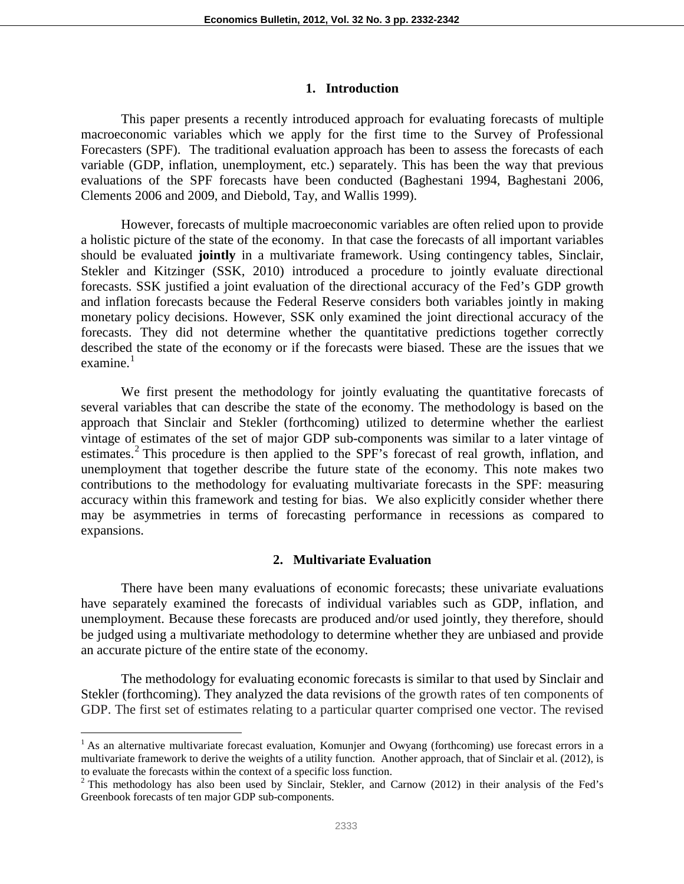### **1. Introduction**

This paper presents a recently introduced approach for evaluating forecasts of multiple macroeconomic variables which we apply for the first time to the Survey of Professional Forecasters (SPF). The traditional evaluation approach has been to assess the forecasts of each variable (GDP, inflation, unemployment, etc.) separately. This has been the way that previous evaluations of the SPF forecasts have been conducted (Baghestani 1994, Baghestani 2006, Clements 2006 and 2009, and Diebold, Tay, and Wallis 1999).

However, forecasts of multiple macroeconomic variables are often relied upon to provide a holistic picture of the state of the economy. In that case the forecasts of all important variables should be evaluated **jointly** in a multivariate framework. Using contingency tables, Sinclair, Stekler and Kitzinger (SSK, 2010) introduced a procedure to jointly evaluate directional forecasts. SSK justified a joint evaluation of the directional accuracy of the Fed's GDP growth and inflation forecasts because the Federal Reserve considers both variables jointly in making monetary policy decisions. However, SSK only examined the joint directional accuracy of the forecasts. They did not determine whether the quantitative predictions together correctly described the state of the economy or if the forecasts were biased. These are the issues that we  $examine<sup>1</sup>$ 

We first present the methodology for jointly evaluating the quantitative forecasts of several variables that can describe the state of the economy. The methodology is based on the approach that Sinclair and Stekler (forthcoming) utilized to determine whether the earliest vintage of estimates of the set of major GDP sub-components was similar to a later vintage of estimates.<sup>2</sup> This procedure is then applied to the SPF's forecast of real growth, inflation, and unemployment that together describe the future state of the economy. This note makes two contributions to the methodology for evaluating multivariate forecasts in the SPF: measuring accuracy within this framework and testing for bias. We also explicitly consider whether there may be asymmetries in terms of forecasting performance in recessions as compared to expansions.

# **2. Multivariate Evaluation**

There have been many evaluations of economic forecasts; these univariate evaluations have separately examined the forecasts of individual variables such as GDP, inflation, and unemployment. Because these forecasts are produced and/or used jointly, they therefore, should be judged using a multivariate methodology to determine whether they are unbiased and provide an accurate picture of the entire state of the economy.

The methodology for evaluating economic forecasts is similar to that used by Sinclair and Stekler (forthcoming). They analyzed the data revisions of the growth rates of ten components of GDP. The first set of estimates relating to a particular quarter comprised one vector. The revised

<sup>&</sup>lt;sup>1</sup> As an alternative multivariate forecast evaluation, Komunjer and Owyang (forthcoming) use forecast errors in a multivariate framework to derive the weights of a utility function. Another approach, that of Sinclair et al. (2012), is to evaluate the forecasts within the context of a specific loss function.<br><sup>2</sup> This methodology has also been used by Sinclair, Stekler, and Carnow (2012) in their analysis of the Fed's

Greenbook forecasts of ten major GDP sub-components.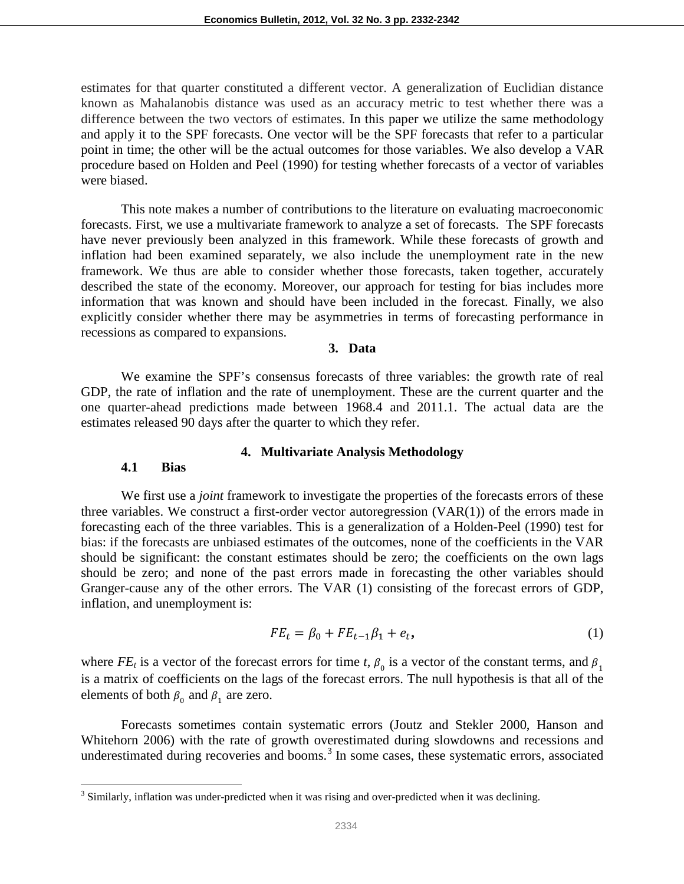estimates for that quarter constituted a different vector. A generalization of Euclidian distance known as Mahalanobis distance was used as an accuracy metric to test whether there was a difference between the two vectors of estimates. In this paper we utilize the same methodology and apply it to the SPF forecasts. One vector will be the SPF forecasts that refer to a particular point in time; the other will be the actual outcomes for those variables. We also develop a VAR procedure based on Holden and Peel (1990) for testing whether forecasts of a vector of variables were biased.

This note makes a number of contributions to the literature on evaluating macroeconomic forecasts. First, we use a multivariate framework to analyze a set of forecasts. The SPF forecasts have never previously been analyzed in this framework. While these forecasts of growth and inflation had been examined separately, we also include the unemployment rate in the new framework. We thus are able to consider whether those forecasts, taken together, accurately described the state of the economy. Moreover, our approach for testing for bias includes more information that was known and should have been included in the forecast. Finally, we also explicitly consider whether there may be asymmetries in terms of forecasting performance in recessions as compared to expansions.

**3. Data**

We examine the SPF's consensus forecasts of three variables: the growth rate of real GDP, the rate of inflation and the rate of unemployment. These are the current quarter and the one quarter-ahead predictions made between 1968.4 and 2011.1. The actual data are the estimates released 90 days after the quarter to which they refer.

#### **4. Multivariate Analysis Methodology**

#### **4.1 Bias**

We first use a *joint* framework to investigate the properties of the forecasts errors of these three variables. We construct a first-order vector autoregression (VAR(1)) of the errors made in forecasting each of the three variables. This is a generalization of a Holden-Peel (1990) test for bias: if the forecasts are unbiased estimates of the outcomes, none of the coefficients in the VAR should be significant: the constant estimates should be zero; the coefficients on the own lags should be zero; and none of the past errors made in forecasting the other variables should Granger-cause any of the other errors. The VAR (1) consisting of the forecast errors of GDP, inflation, and unemployment is:

$$
FE_t = \beta_0 + FE_{t-1}\beta_1 + e_t, \tag{1}
$$

where  $FE_t$  is a vector of the forecast errors for time *t*,  $\beta_0$  is a vector of the constant terms, and  $\beta_1$ is a matrix of coefficients on the lags of the forecast errors. The null hypothesis is that all of the elements of both  $\beta_0$  and  $\beta_1$  are zero.

Forecasts sometimes contain systematic errors (Joutz and Stekler 2000, Hanson and Whitehorn 2006) with the rate of growth overestimated during slowdowns and recessions and underestimated during recoveries and booms. <sup>3</sup> In some cases, these systematic errors, associated

<sup>&</sup>lt;sup>3</sup> Similarly, inflation was under-predicted when it was rising and over-predicted when it was declining.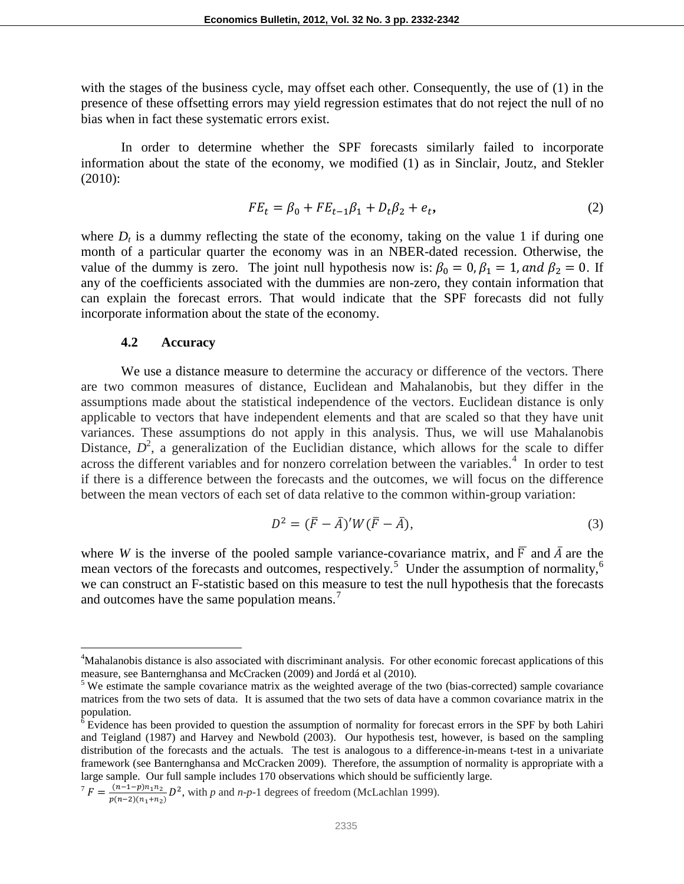with the stages of the business cycle, may offset each other. Consequently, the use of (1) in the presence of these offsetting errors may yield regression estimates that do not reject the null of no bias when in fact these systematic errors exist.

In order to determine whether the SPF forecasts similarly failed to incorporate information about the state of the economy, we modified (1) as in Sinclair, Joutz, and Stekler (2010):

$$
FE_t = \beta_0 + FE_{t-1}\beta_1 + D_t\beta_2 + e_t,
$$
\n(2)

where  $D_t$  is a dummy reflecting the state of the economy, taking on the value 1 if during one month of a particular quarter the economy was in an NBER-dated recession. Otherwise, the value of the dummy is zero. The joint null hypothesis now is:  $\beta_0 = 0$ ,  $\beta_1 = 1$ , and  $\beta_2 = 0$ . If any of the coefficients associated with the dummies are non-zero, they contain information that can explain the forecast errors. That would indicate that the SPF forecasts did not fully incorporate information about the state of the economy.

# **4.2 Accuracy**

We use a distance measure to determine the accuracy or difference of the vectors. There are two common measures of distance, Euclidean and Mahalanobis, but they differ in the assumptions made about the statistical independence of the vectors. Euclidean distance is only applicable to vectors that have independent elements and that are scaled so that they have unit variances. These assumptions do not apply in this analysis. Thus, we will use Mahalanobis Distance,  $D^2$ , a generalization of the Euclidian distance, which allows for the scale to differ across the different variables and for nonzero correlation between the variables.<sup>4</sup> In order to test if there is a difference between the forecasts and the outcomes, we will focus on the difference between the mean vectors of each set of data relative to the common within-group variation:

$$
D^2 = (\overline{F} - \overline{A})' W (\overline{F} - \overline{A}), \qquad (3)
$$

where *W* is the inverse of the pooled sample variance-covariance matrix, and  $\overline{F}$  and  $\overline{A}$  are the mean vectors of the forecasts and outcomes, respectively.<sup>5</sup> Under the assumption of normality,<sup>6</sup> we can construct an F-statistic based on this measure to test the null hypothesis that the forecasts and outcomes have the same population means.<sup>7</sup>

 $\frac{1}{4}$ <sup>4</sup>Mahalanobis distance is also associated with discriminant analysis. For other economic forecast applications of this measure, see Banternghansa and McCracken (2009) and Jordá et al (2010).

 $<sup>5</sup>$  We estimate the sample covariance matrix as the weighted average of the two (bias-corrected) sample covariance</sup> matrices from the two sets of data. It is assumed that the two sets of data have a common covariance matrix in the population.

 $6$  Evidence has been provided to question the assumption of normality for forecast errors in the SPF by both Lahiri and Teigland (1987) and Harvey and Newbold (2003). Our hypothesis test, however, is based on the sampling distribution of the forecasts and the actuals. The test is analogous to a difference-in-means t-test in a univariate framework (see Banternghansa and McCracken 2009). Therefore, the assumption of normality is appropriate with a large sample. Our full sample includes 170 observations which should be sufficiently large.

 $T F = \frac{(n-1-p)n_1n_2}{p(n-2)(n_1+n_2)} D^2$ , with *p* and *n*-*p*-1 degrees of freedom (McLachlan 1999).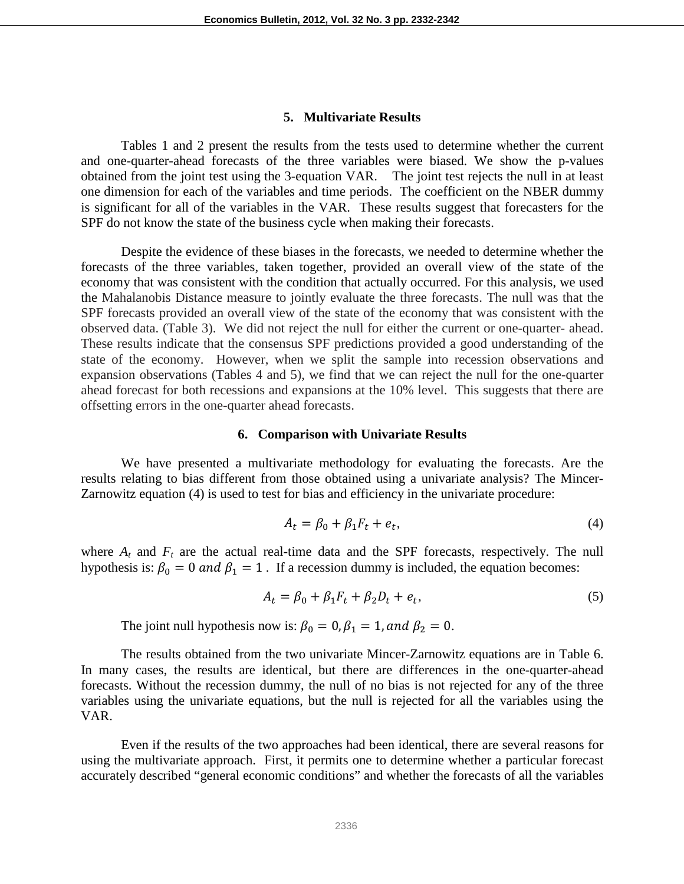#### **5. Multivariate Results**

Tables 1 and 2 present the results from the tests used to determine whether the current and one-quarter-ahead forecasts of the three variables were biased. We show the p-values obtained from the joint test using the 3-equation VAR. The joint test rejects the null in at least one dimension for each of the variables and time periods. The coefficient on the NBER dummy is significant for all of the variables in the VAR. These results suggest that forecasters for the SPF do not know the state of the business cycle when making their forecasts.

Despite the evidence of these biases in the forecasts, we needed to determine whether the forecasts of the three variables, taken together, provided an overall view of the state of the economy that was consistent with the condition that actually occurred. For this analysis, we used the Mahalanobis Distance measure to jointly evaluate the three forecasts. The null was that the SPF forecasts provided an overall view of the state of the economy that was consistent with the observed data. (Table 3). We did not reject the null for either the current or one-quarter- ahead. These results indicate that the consensus SPF predictions provided a good understanding of the state of the economy. However, when we split the sample into recession observations and expansion observations (Tables 4 and 5), we find that we can reject the null for the one-quarter ahead forecast for both recessions and expansions at the 10% level. This suggests that there are offsetting errors in the one-quarter ahead forecasts.

#### **6. Comparison with Univariate Results**

We have presented a multivariate methodology for evaluating the forecasts. Are the results relating to bias different from those obtained using a univariate analysis? The Mincer-Zarnowitz equation (4) is used to test for bias and efficiency in the univariate procedure:

$$
A_t = \beta_0 + \beta_1 F_t + e_t,\tag{4}
$$

where  $A_t$  and  $F_t$  are the actual real-time data and the SPF forecasts, respectively. The null hypothesis is:  $\beta_0 = 0$  and  $\beta_1 = 1$ . If a recession dummy is included, the equation becomes:

$$
A_t = \beta_0 + \beta_1 F_t + \beta_2 D_t + e_t,\tag{5}
$$

The joint null hypothesis now is:  $\beta_0 = 0$ ,  $\beta_1 = 1$ , and  $\beta_2 = 0$ .

The results obtained from the two univariate Mincer-Zarnowitz equations are in Table 6. In many cases, the results are identical, but there are differences in the one-quarter-ahead forecasts. Without the recession dummy, the null of no bias is not rejected for any of the three variables using the univariate equations, but the null is rejected for all the variables using the VAR.

Even if the results of the two approaches had been identical, there are several reasons for using the multivariate approach. First, it permits one to determine whether a particular forecast accurately described "general economic conditions" and whether the forecasts of all the variables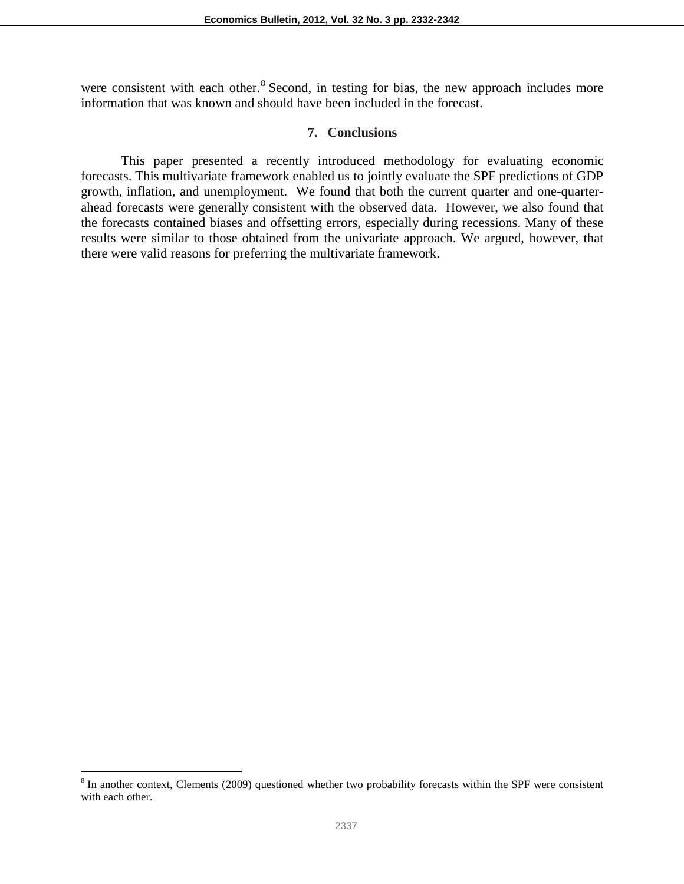were consistent with each other.<sup>8</sup> Second, in testing for bias, the new approach includes more information that was known and should have been included in the forecast.

# **7. Conclusions**

This paper presented a recently introduced methodology for evaluating economic forecasts. This multivariate framework enabled us to jointly evaluate the SPF predictions of GDP growth, inflation, and unemployment. We found that both the current quarter and one-quarterahead forecasts were generally consistent with the observed data. However, we also found that the forecasts contained biases and offsetting errors, especially during recessions. Many of these results were similar to those obtained from the univariate approach. We argued, however, that there were valid reasons for preferring the multivariate framework.

<sup>&</sup>lt;sup>8</sup> In another context, Clements (2009) questioned whether two probability forecasts within the SPF were consistent with each other.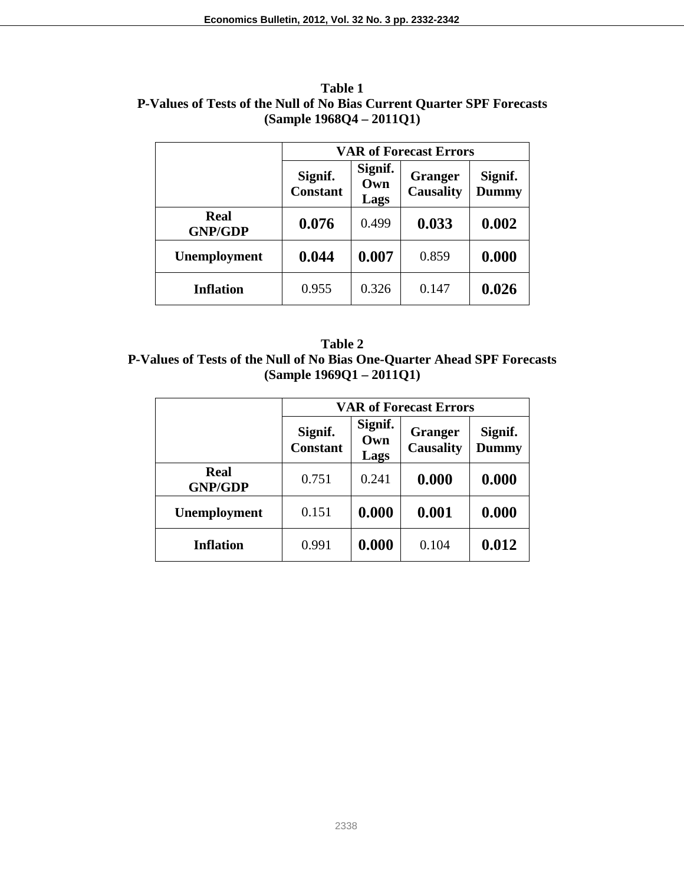| Table 1                                                                |
|------------------------------------------------------------------------|
| P-Values of Tests of the Null of No Bias Current Quarter SPF Forecasts |
| $(Sample 1968Q4 - 2011Q1)$                                             |

|                        | <b>VAR of Forecast Errors</b> |                        |                                    |                         |
|------------------------|-------------------------------|------------------------|------------------------------------|-------------------------|
|                        | Signif.<br><b>Constant</b>    | Signif.<br>Own<br>Lags | <b>Granger</b><br><b>Causality</b> | Signif.<br><b>Dummy</b> |
| Real<br><b>GNP/GDP</b> | 0.076                         | 0.499                  | 0.033                              | 0.002                   |
| Unemployment           | 0.044                         | 0.007                  | 0.859                              | 0.000                   |
| <b>Inflation</b>       | 0.955                         | 0.326                  | 0.147                              | 0.026                   |

**Table 2 P-Values of Tests of the Null of No Bias One-Quarter Ahead SPF Forecasts (Sample 1969Q1 – 2011Q1)**

|                        | <b>VAR of Forecast Errors</b> |                        |                                    |                         |
|------------------------|-------------------------------|------------------------|------------------------------------|-------------------------|
|                        | Signif.<br><b>Constant</b>    | Signif.<br>Own<br>Lags | <b>Granger</b><br><b>Causality</b> | Signif.<br><b>Dummy</b> |
| Real<br><b>GNP/GDP</b> | 0.751                         | 0.241                  | 0.000                              | 0.000                   |
| Unemployment           | 0.151                         | 0.000                  | 0.001                              | 0.000                   |
| <b>Inflation</b>       | 0.991                         | 0.000                  | 0.104                              | 0.012                   |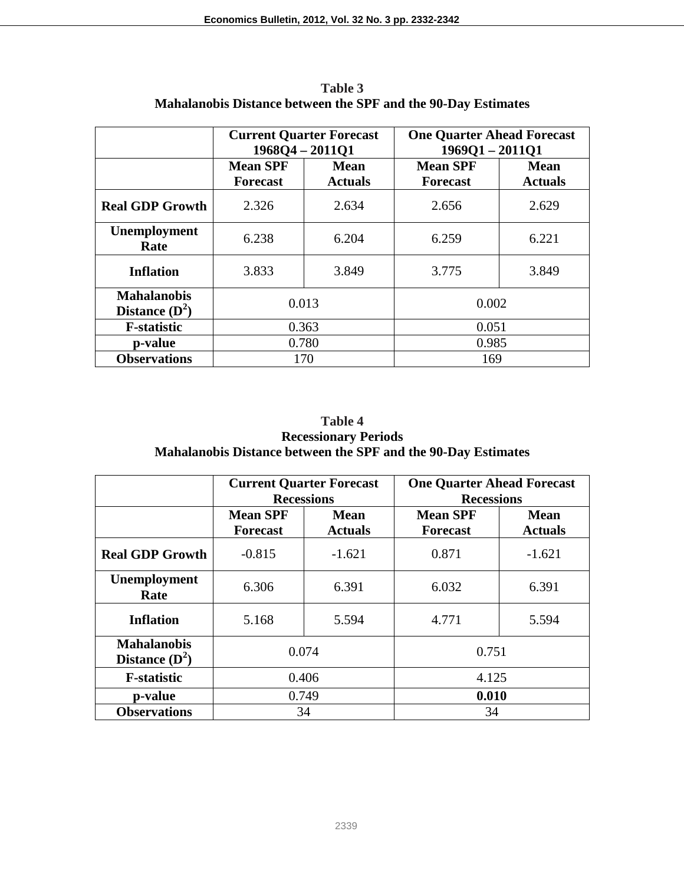|                                        | <b>Current Quarter Forecast</b><br>$196804 - 201101$ |                               | <b>One Quarter Ahead Forecast</b><br>$196901 - 201101$ |                               |
|----------------------------------------|------------------------------------------------------|-------------------------------|--------------------------------------------------------|-------------------------------|
|                                        | <b>Mean SPF</b><br><b>Forecast</b>                   | <b>Mean</b><br><b>Actuals</b> | <b>Mean SPF</b><br><b>Forecast</b>                     | <b>Mean</b><br><b>Actuals</b> |
| <b>Real GDP Growth</b>                 | 2.326                                                | 2.634                         | 2.656                                                  | 2.629                         |
| Unemployment<br>Rate                   | 6.238                                                | 6.204                         | 6.259                                                  | 6.221                         |
| <b>Inflation</b>                       | 3.833                                                | 3.849                         | 3.775                                                  | 3.849                         |
| <b>Mahalanobis</b><br>Distance $(D^2)$ | 0.013                                                |                               | 0.002                                                  |                               |
| <b>F-statistic</b>                     | 0.363                                                |                               | 0.051                                                  |                               |
| p-value                                | 0.780                                                |                               | 0.985                                                  |                               |
| <b>Observations</b>                    | 170                                                  |                               | 169                                                    |                               |

**Table 3 Mahalanobis Distance between the SPF and the 90-Day Estimates** 

| <b>Table 4</b>                                                |
|---------------------------------------------------------------|
| <b>Recessionary Periods</b>                                   |
| Mahalanobis Distance between the SPF and the 90-Day Estimates |

|                                        | <b>Current Quarter Forecast</b><br><b>Recessions</b> |                               | <b>One Quarter Ahead Forecast</b><br><b>Recessions</b> |                               |
|----------------------------------------|------------------------------------------------------|-------------------------------|--------------------------------------------------------|-------------------------------|
|                                        | <b>Mean SPF</b><br><b>Forecast</b>                   | <b>Mean</b><br><b>Actuals</b> | <b>Mean SPF</b><br><b>Forecast</b>                     | <b>Mean</b><br><b>Actuals</b> |
| <b>Real GDP Growth</b>                 | $-0.815$                                             | $-1.621$                      | 0.871                                                  | $-1.621$                      |
| Unemployment<br>Rate                   | 6.306                                                | 6.391                         | 6.032                                                  | 6.391                         |
| <b>Inflation</b>                       | 5.168                                                | 5.594                         | 4.771                                                  | 5.594                         |
| <b>Mahalanobis</b><br>Distance $(D^2)$ | 0.074                                                |                               | 0.751                                                  |                               |
| <b>F-statistic</b>                     | 0.406                                                |                               | 4.125                                                  |                               |
| p-value                                | 0.749                                                |                               | 0.010                                                  |                               |
| <b>Observations</b>                    | 34                                                   |                               | 34                                                     |                               |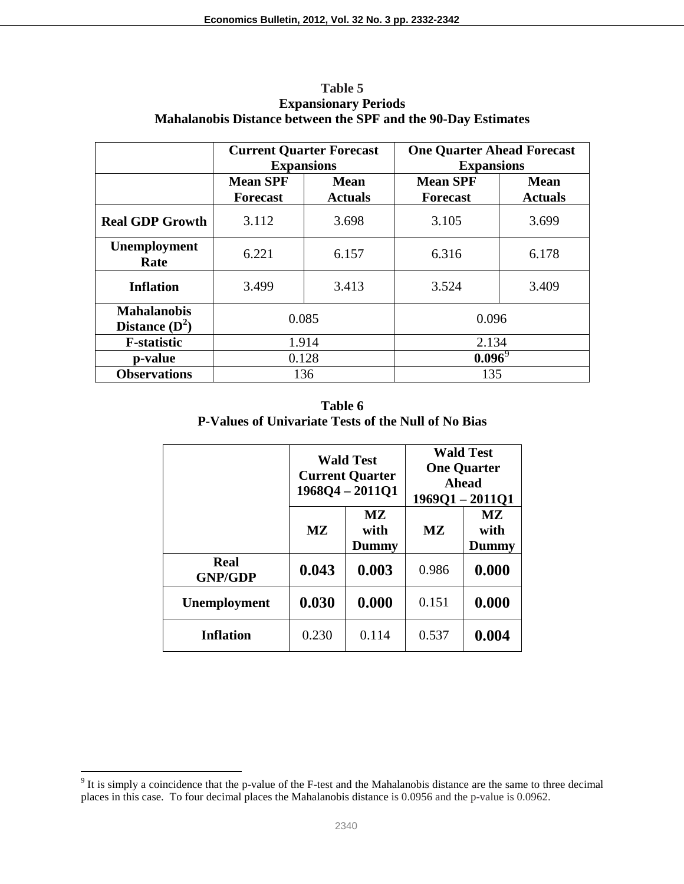|                                        | <b>Current Quarter Forecast</b><br><b>Expansions</b> |                               | <b>One Quarter Ahead Forecast</b><br><b>Expansions</b> |                               |  |
|----------------------------------------|------------------------------------------------------|-------------------------------|--------------------------------------------------------|-------------------------------|--|
|                                        | <b>Mean SPF</b><br><b>Forecast</b>                   | <b>Mean</b><br><b>Actuals</b> | <b>Mean SPF</b><br><b>Forecast</b>                     | <b>Mean</b><br><b>Actuals</b> |  |
| <b>Real GDP Growth</b>                 | 3.112                                                | 3.698                         | 3.105                                                  | 3.699                         |  |
| Unemployment<br>Rate                   | 6.221                                                | 6.157                         | 6.316                                                  | 6.178                         |  |
| <b>Inflation</b>                       | 3.499                                                | 3.413                         | 3.524                                                  | 3.409                         |  |
| <b>Mahalanobis</b><br>Distance $(D^2)$ | 0.085                                                |                               | 0.096                                                  |                               |  |
| <b>F-statistic</b>                     | 1.914                                                |                               | 2.134                                                  |                               |  |
| p-value                                | 0.128                                                |                               | $0.096^9$                                              |                               |  |
| <b>Observations</b>                    | 136                                                  |                               | 135                                                    |                               |  |

**Table 5 Expansionary Periods Mahalanobis Distance between the SPF and the 90-Day Estimates** 

**Table 6 P-Values of Univariate Tests of the Null of No Bias** 

|                               | <b>Wald Test</b><br><b>Current Quarter</b><br>1968Q4-2011Q1 |                      | <b>Wald Test</b><br><b>One Quarter</b><br>Ahead<br>$1969Q1 - 2011Q1$ |                            |
|-------------------------------|-------------------------------------------------------------|----------------------|----------------------------------------------------------------------|----------------------------|
|                               | MZ                                                          | MZ.<br>with<br>Dummy | MZ                                                                   | MZ<br>with<br><b>Dummy</b> |
| <b>Real</b><br><b>GNP/GDP</b> | 0.043                                                       | 0.003                | 0.986                                                                | 0.000                      |
| <b>Unemployment</b>           | 0.030                                                       | 0.000                | 0.151                                                                | 0.000                      |
| <b>Inflation</b>              | 0.230                                                       | 0.114                | 0.537                                                                | 0.004                      |

<sup>&</sup>lt;sup>9</sup> It is simply a coincidence that the p-value of the F-test and the Mahalanobis distance are the same to three decimal places in this case. To four decimal places the Mahalanobis distance is 0.0956 and the p-value is 0.0962.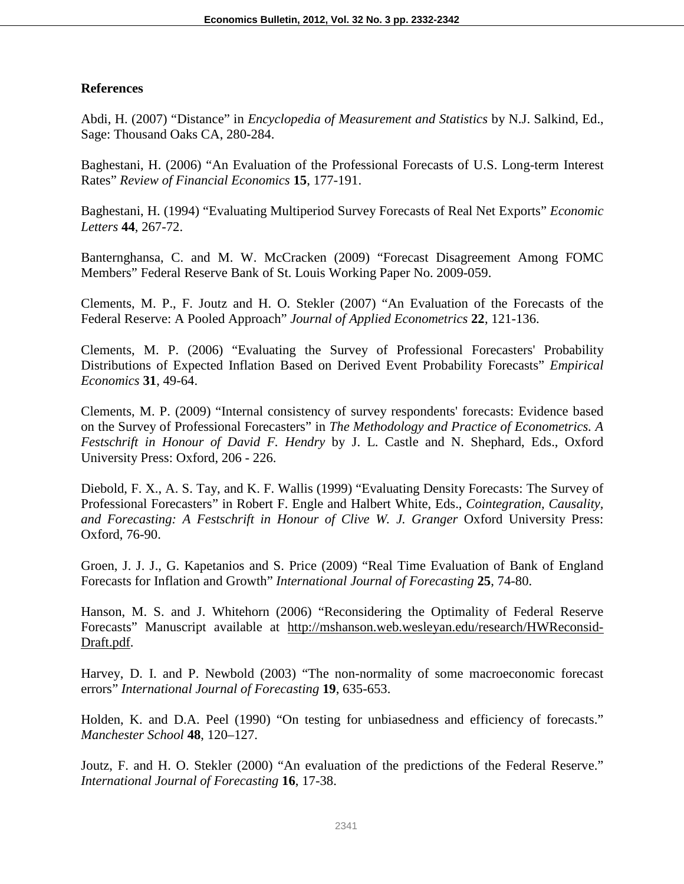# **References**

Abdi, H. (2007) "Distance" in *Encyclopedia of Measurement and Statistics* by N.J. Salkind, Ed., Sage: Thousand Oaks CA, 280-284.

Baghestani, H. (2006) "An Evaluation of the Professional Forecasts of U.S. Long-term Interest Rates" *Review of Financial Economics* **15**, 177-191.

Baghestani, H. (1994) "Evaluating Multiperiod Survey Forecasts of Real Net Exports" *Economic Letters* **44**, 267-72.

Banternghansa, C. and M. W. McCracken (2009) "Forecast Disagreement Among FOMC Members" Federal Reserve Bank of St. Louis Working Paper No. 2009-059.

Clements, M. P., F. Joutz and H. O. Stekler (2007) "An Evaluation of the Forecasts of the Federal Reserve: A Pooled Approach" *Journal of Applied Econometrics* **22**, 121-136.

Clements, M. P. (2006) "Evaluating the Survey of Professional Forecasters' Probability Distributions of Expected Inflation Based on Derived Event Probability Forecasts" *Empirical Economics* **31**, 49-64.

Clements, M. P. (2009) "Internal consistency of survey respondents' forecasts: Evidence based on the Survey of Professional Forecasters" in *The Methodology and Practice of Econometrics. A Festschrift in Honour of David F. Hendry* by J. L. Castle and N. Shephard, Eds., Oxford University Press: Oxford, 206 - 226.

Diebold, F. X., A. S. Tay, and K. F. Wallis (1999) "Evaluating Density Forecasts: The Survey of Professional Forecasters" in Robert F. Engle and Halbert White, Eds., *Cointegration, Causality, and Forecasting: A Festschrift in Honour of Clive W. J. Granger* Oxford University Press: Oxford, 76-90.

Groen, J. J. J., G. Kapetanios and S. Price (2009) "Real Time Evaluation of Bank of England Forecasts for Inflation and Growth" *International Journal of Forecasting* **25**, 74-80.

Hanson, M. S. and J. Whitehorn (2006) "Reconsidering the Optimality of Federal Reserve Forecasts" Manuscript available at http://mshanson.web.wesleyan.edu/research/HWReconsid-Draft.pdf.

Harvey, D. I. and P. Newbold (2003) "The non-normality of some macroeconomic forecast errors" *International Journal of Forecasting* **19**, 635-653.

Holden, K. and D.A. Peel (1990) "On testing for unbiasedness and efficiency of forecasts." *Manchester School* **48**, 120–127.

Joutz, F. and H. O. Stekler (2000) "An evaluation of the predictions of the Federal Reserve." *International Journal of Forecasting* **16**, 17-38.